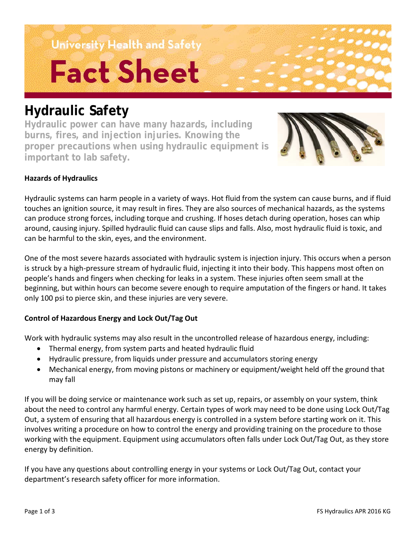University Health and Safety **Fact Sheet** 

## **Hydraulic Safety**

**Hydraulic power can have many hazards, including burns, fires, and injection injuries. Knowing the proper precautions when using hydraulic equipment is important to lab safety.**



#### **Hazards of Hydraulics**

Hydraulic systems can harm people in a variety of ways. Hot fluid from the system can cause burns, and if fluid touches an ignition source, it may result in fires. They are also sources of mechanical hazards, as the systems can produce strong forces, including torque and crushing. If hoses detach during operation, hoses can whip around, causing injury. Spilled hydraulic fluid can cause slips and falls. Also, most hydraulic fluid is toxic, and can be harmful to the skin, eyes, and the environment.

One of the most severe hazards associated with hydraulic system is injection injury. This occurs when a person is struck by a high-pressure stream of hydraulic fluid, injecting it into their body. This happens most often on people's hands and fingers when checking for leaks in a system. These injuries often seem small at the beginning, but within hours can become severe enough to require amputation of the fingers or hand. It takes only 100 psi to pierce skin, and these injuries are very severe.

#### **Control of Hazardous Energy and Lock Out/Tag Out**

Work with hydraulic systems may also result in the uncontrolled release of hazardous energy, including:

- Thermal energy, from system parts and heated hydraulic fluid
- Hydraulic pressure, from liquids under pressure and accumulators storing energy
- Mechanical energy, from moving pistons or machinery or equipment/weight held off the ground that may fall

If you will be doing service or maintenance work such as set up, repairs, or assembly on your system, think about the need to control any harmful energy. Certain types of work may need to be done using Lock Out/Tag Out, a system of ensuring that all hazardous energy is controlled in a system before starting work on it. This involves writing a procedure on how to control the energy and providing training on the procedure to those working with the equipment. Equipment using accumulators often falls under Lock Out/Tag Out, as they store energy by definition.

If you have any questions about controlling energy in your systems or Lock Out/Tag Out, contact your department's research safety officer for more information.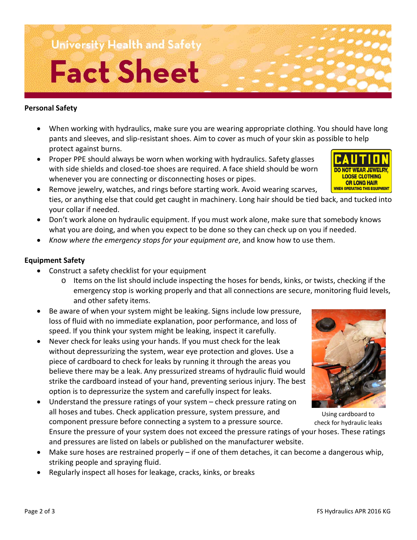# **University Health and Safety Fact Sheet**

#### **Personal Safety**

- When working with hydraulics, make sure you are wearing appropriate clothing. You should have long pants and sleeves, and slip-resistant shoes. Aim to cover as much of your skin as possible to help protect against burns.
- Proper PPE should always be worn when working with hydraulics. Safety glasses with side shields and closed-toe shoes are required. A face shield should be worn whenever you are connecting or disconnecting hoses or pipes.
- Remove jewelry, watches, and rings before starting work. Avoid wearing scarves, ties, or anything else that could get caught in machinery. Long hair should be tied back, and tucked into your collar if needed.
- Don't work alone on hydraulic equipment. If you must work alone, make sure that somebody knows what you are doing, and when you expect to be done so they can check up on you if needed.
- *Know where the emergency stops for your equipment are*, and know how to use them.

#### **Equipment Safety**

- Construct a safety checklist for your equipment
	- o Items on the list should include inspecting the hoses for bends, kinks, or twists, checking if the emergency stop is working properly and that all connections are secure, monitoring fluid levels, and other safety items.
- Be aware of when your system might be leaking. Signs include low pressure, loss of fluid with no immediate explanation, poor performance, and loss of speed. If you think your system might be leaking, inspect it carefully.
- Never check for leaks using your hands. If you must check for the leak without depressurizing the system, wear eye protection and gloves. Use a piece of cardboard to check for leaks by running it through the areas you believe there may be a leak. Any pressurized streams of hydraulic fluid would strike the cardboard instead of your hand, preventing serious injury. The best option is to depressurize the system and carefully inspect for leaks.
- Understand the pressure ratings of your system check pressure rating on all hoses and tubes. Check application pressure, system pressure, and component pressure before connecting a system to a pressure source.

Ensure the pressure of your system does not exceed the pressure ratings of your hoses. These ratings and pressures are listed on labels or published on the manufacturer website.

- Make sure hoses are restrained properly if one of them detaches, it can become a dangerous whip, striking people and spraying fluid.
- Regularly inspect all hoses for leakage, cracks, kinks, or breaks



check for hydraulic leaks